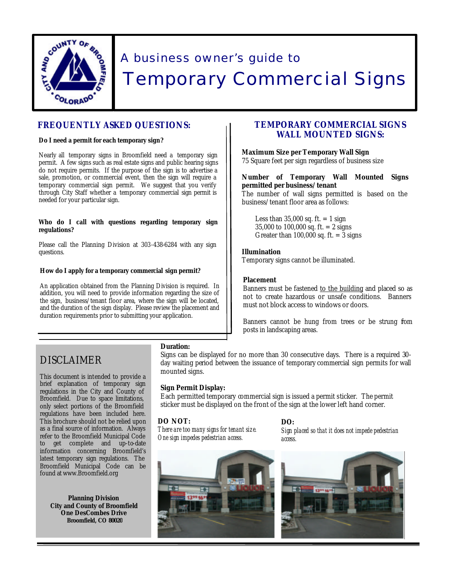

# A business owner's guide to Temporary Commercial Signs

# **FREQUENTLY ASKED QUESTIONS:**

# **Do I need a permit for each temporary sign?**

Nearly all temporary signs in Broomfield need a temporary sign permit. A few signs such as real estate signs and public hearing signs do not require permits. If the purpose of the sign is to advertise a sale, promotion, or commercial event, then the sign will require a temporary commercial sign permit. We suggest that you verify through City Staff whether a temporary commercial sign permit is needed for your particular sign.

## **Who do I call with questions regarding temporary sign regulations?**

Please call the Planning Division at 303-438-6284 with any sign questions.

## **How do I apply for a temporary commercial sign permit?**

An application obtained from the Planning Division is required. In addition, you will need to provide information regarding the size of the sign, business/tenant floor area, where the sign will be located, and the duration of the sign display. Please review the placement and duration requirements prior to submitting your application.

# **TEMPORARY COMMERCIAL SIGNS WALL MOUNTED SIGNS:**

# **Maximum Size per Temporary Wall Sign**

75 Square feet per sign regardless of business size

# **Number of Temporary Wall Mounted Signs permitted per business/tenant**

The number of wall signs permitted is based on the business/tenant floor area as follows:

Less than  $35,000$  sq. ft.  $= 1$  sign 35,000 to 100,000 sq. ft. = 2 signs Greater than  $100,000$  sq. ft. = 3 signs

# **Illumination**

Temporary signs cannot be illuminated.

# **Placement**

Banners must be fastened to the building and placed so as not to create hazardous or unsafe conditions. Banners must not block access to windows or doors.

Banners cannot be hung from trees or be strung fom posts in landscaping areas.

# DISCLAIMER

This document is intended to provide a brief explanation of temporary sign regulations in the City and County of Broomfield. Due to space limitations, only select portions of the Broomfield regulations have been included here. This brochure should not be relied upon as a final source of information. Always refer to the Broomfield Municipal Code to get complete and up-to-date information concerning Broomfield's latest temporary sign regulations. The Broomfield Municipal Code can be found at www.Broomfield.org

**Planning Division City and County of Broomfield One DesCombes Drive Broomfield, CO 80020**

# **Duration:**

Signs can be displayed for no more than 30 consecutive days. There is a required 30 day waiting period between the issuance of temporary commercial sign permits for wall mounted signs.

# **Sign Permit Display:**

Each permitted temporary commercial sign is issued a permit sticker. The permit sticker must be displayed on the front of the sign at the lower left hand corner.

# **DO NOT:**

*There are too many signs for tenant size. One sign impedes pedestrian access.* 



# **DO:**

*Sign placed so that it does not impede pedestrian access.*